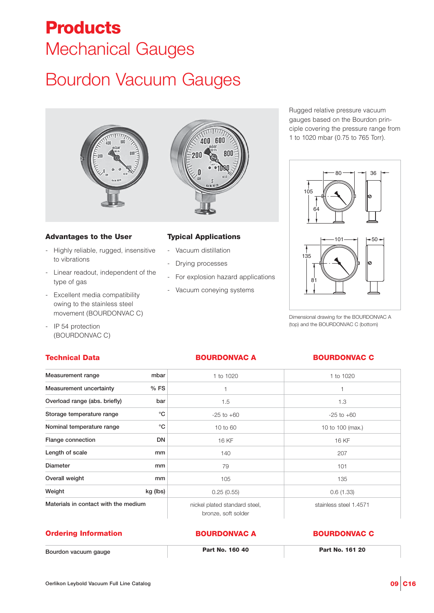# **Products** Mechanical Gauges

# Bourdon Vacuum Gauges





- Highly reliable, rugged, insensitive to vibrations
- Linear readout, independent of the type of gas
- Excellent media compatibility owing to the stainless steel movement (BOURDONVAC C)
- IP 54 protection (BOURDONVAC C)

# **Technical Data**

# **Typical Applications**

- Vacuum distillation
- Drying processes
- For explosion hazard applications

600 400

800

- Vacuum coneying systems

Rugged relative pressure vacuum gauges based on the Bourdon principle covering the pressure range from 1 to 1020 mbar (0.75 to 765 Torr).



Dimensional drawing for the BOURDONVAC A (top) and the BOURDONVAC C (bottom)

## **BOURDONVAC A BOURDONVAC C**

| Measurement range                    | mbar        | 1 to 1020                                            | 1 to 1020              |
|--------------------------------------|-------------|------------------------------------------------------|------------------------|
| Measurement uncertainty              | %FS         |                                                      | 1                      |
| Overload range (abs. briefly)        | bar         | 1.5                                                  | 1.3                    |
| Storage temperature range            | °C          | $-25$ to $+60$                                       | $-25$ to $+60$         |
| Nominal temperature range            | $^{\circ}C$ | 10 to 60                                             | 10 to 100 (max.)       |
| Flange connection                    | DN          | 16 KF                                                | 16 KF                  |
| Length of scale                      | mm          | 140                                                  | 207                    |
| <b>Diameter</b>                      | mm          | 79                                                   | 101                    |
| Overall weight                       | mm          | 105                                                  | 135                    |
| Weight                               | kg (lbs)    | 0.25(0.55)                                           | 0.6(1.33)              |
| Materials in contact with the medium |             | nickel plated standard steel,<br>bronze, soft solder | stainless steel 1.4571 |

### **Ordering Information**

**Bourdon vacuum gauge Part No. 160 40 Part No. 161 20**

**BOURDONVAC A BOURDONVAC C**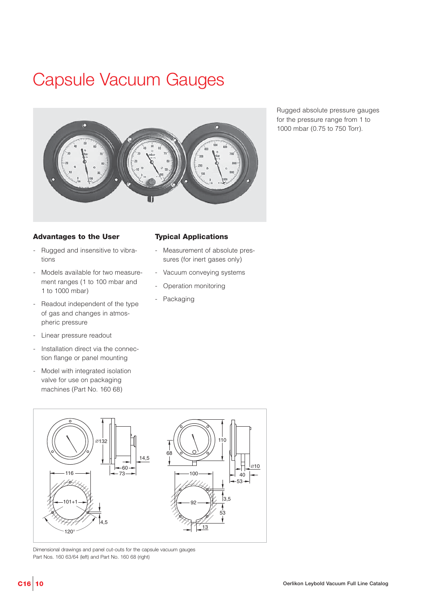# Capsule Vacuum Gauges



Rugged absolute pressure gauges for the pressure range from 1 to 1000 mbar (0.75 to 750 Torr).

## **Advantages to the User**

- Rugged and insensitive to vibrations
- Models available for two measurement ranges (1 to 100 mbar and 1 to 1000 mbar)
- Readout independent of the type of gas and changes in atmospheric pressure
- Linear pressure readout
- Installation direct via the connection flange or panel mounting
- Model with integrated isolation valve for use on packaging machines (Part No. 160 68)

### **Typical Applications**

- Measurement of absolute pressures (for inert gases only)
- Vacuum conveying systems
- Operation monitoring
- Packaging



Dimensional drawings and panel cut-outs for the capsule vacuum gauges Part Nos. 160 63/64 (left) and Part No. 160 68 (right)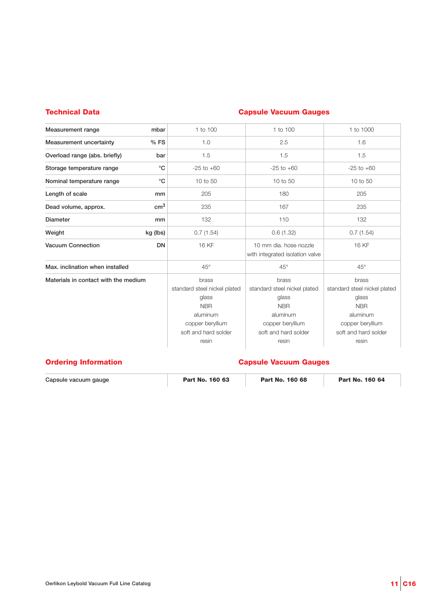## **Technical Data**

# **Capsule Vacuum Gauges**

| Measurement range<br>mbar                 | 1 to 100                                                                                                                      | 1 to 100                                                                                                                      | 1 to 1000                                                                                                                     |
|-------------------------------------------|-------------------------------------------------------------------------------------------------------------------------------|-------------------------------------------------------------------------------------------------------------------------------|-------------------------------------------------------------------------------------------------------------------------------|
| Measurement uncertainty<br>$%$ FS         | 1.0                                                                                                                           | 2.5                                                                                                                           | 1.6                                                                                                                           |
| Overload range (abs. briefly)<br>bar      | 1.5                                                                                                                           | 1.5                                                                                                                           | 1.5                                                                                                                           |
| $^{\circ}C$<br>Storage temperature range  | $-25$ to $+60$                                                                                                                | $-25$ to $+60$                                                                                                                | $-25$ to $+60$                                                                                                                |
| $^{\circ}$ C<br>Nominal temperature range | 10 to 50                                                                                                                      | 10 to 50                                                                                                                      | 10 to 50                                                                                                                      |
| Length of scale<br>mm                     | 205                                                                                                                           | 180                                                                                                                           | 205                                                                                                                           |
| $\rm cm^3$<br>Dead volume, approx.        | 235                                                                                                                           | 167                                                                                                                           | 235                                                                                                                           |
| <b>Diameter</b><br>mm                     | 132                                                                                                                           | 110                                                                                                                           | 132                                                                                                                           |
| Weight<br>kg (lbs)                        | 0.7(1.54)                                                                                                                     | 0.6(1.32)                                                                                                                     | 0.7(1.54)                                                                                                                     |
| Vacuum Connection<br><b>DN</b>            | 16 KF                                                                                                                         | 10 mm dia, hose nozzle<br>with integrated isolation valve                                                                     | 16 KF                                                                                                                         |
| Max. inclination when installed           | $45^\circ$                                                                                                                    | $45^\circ$                                                                                                                    | $45^\circ$                                                                                                                    |
| Materials in contact with the medium      | brass<br>standard steel nickel plated<br>glass<br><b>NBR</b><br>aluminum<br>copper beryllium<br>soft and hard solder<br>resin | brass<br>standard steel nickel plated<br>glass<br><b>NBR</b><br>aluminum<br>copper beryllium<br>soft and hard solder<br>resin | brass<br>standard steel nickel plated<br>glass<br><b>NBR</b><br>aluminum<br>copper beryllium<br>soft and hard solder<br>resin |

## **Ordering Information Capsule Vacuum Gauges**

| Capsule vacuum gauge | Part No. 160 63 | Part No. 160 68 | Part No. 160 64 |
|----------------------|-----------------|-----------------|-----------------|
|                      |                 |                 |                 |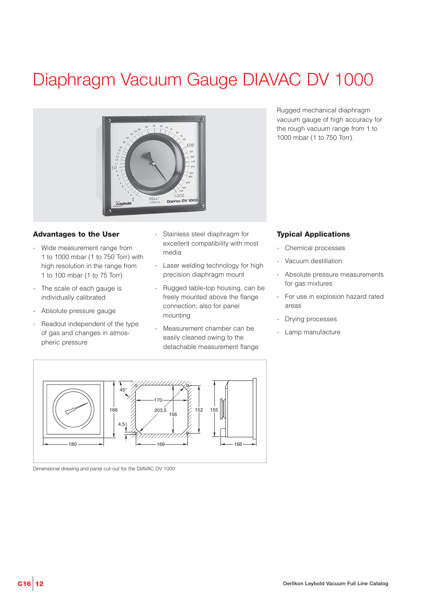# Diaphragm Vacuum Gauge DIAVAC DV 1000



### **Advantages to the User**

- Wide measurement range from 1 to 1000 mbar (1 to 750 Torr) with high resolution in the range from 1 to 100 mbar (1 to 75 Torr)
- The scale of each gauge is individually calibrated
- Absolute pressure gauge
- Readout independent of the type of gas and changes in atmospheric pressure
- Stainless steel diaphragm for excellent compatibility with most media
- Laser welding technology for high precision diaphragm mount
- Rugged table-top housing, can be freely mounted above the flange connection; also for panel mounting
- Measurement chamber can be easily cleaned owing to the detachable measurement flange

Rugged mechanical diaphragm vacuum gauge of high accuracy for the rough vacuum range from 1 to 1000 mbar (1 to 750 Torr).

## **Typical Applications**

- Chemical processes
- Vacuum destillation
- Absolute pressure measurements for gas mixtures
- For use in explosion hazard rated areas
- Drying processes
- Lamp manufacture



Dimensional drawing and panel cut-out for the DIAVAC DV 1000